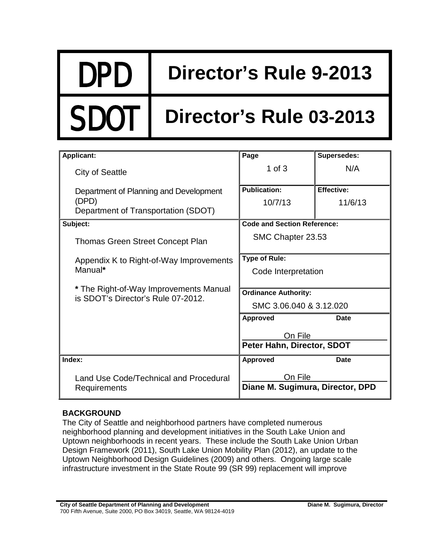## DPD **Director's Rule 9-2013**

## **Director's Rule 03-2013**

| <b>Applicant:</b>                                                            | Page                                  | <b>Supersedes:</b> |
|------------------------------------------------------------------------------|---------------------------------------|--------------------|
| <b>City of Seattle</b>                                                       | 1 of $3$                              | N/A                |
| Department of Planning and Development                                       | <b>Publication:</b>                   | <b>Effective:</b>  |
| (DPD)                                                                        | 10/7/13                               | 11/6/13            |
| Department of Transportation (SDOT)                                          |                                       |                    |
| Subject:                                                                     | <b>Code and Section Reference:</b>    |                    |
| <b>Thomas Green Street Concept Plan</b>                                      | SMC Chapter 23.53                     |                    |
| Appendix K to Right-of-Way Improvements<br>Manual*                           | <b>Type of Rule:</b>                  |                    |
|                                                                              | Code Interpretation                   |                    |
|                                                                              |                                       |                    |
| * The Right-of-Way Improvements Manual<br>is SDOT's Director's Rule 07-2012. | <b>Ordinance Authority:</b>           |                    |
|                                                                              | SMC 3.06.040 & 3.12.020               |                    |
|                                                                              | <b>Approved</b>                       | Date               |
|                                                                              | On File<br>Peter Hahn, Director, SDOT |                    |
|                                                                              |                                       |                    |
| Index:                                                                       | <b>Approved</b>                       | <b>Date</b>        |
| Land Use Code/Technical and Procedural<br>Requirements                       | On File                               |                    |
|                                                                              | Diane M. Sugimura, Director, DPD      |                    |

## **BACKGROUND**

The City of Seattle and neighborhood partners have completed numerous neighborhood planning and development initiatives in the South Lake Union and Uptown neighborhoods in recent years. These include the South Lake Union Urban Design Framework (2011), South Lake Union Mobility Plan (2012), an update to the Uptown Neighborhood Design Guidelines (2009) and others. Ongoing large scale infrastructure investment in the State Route 99 (SR 99) replacement will improve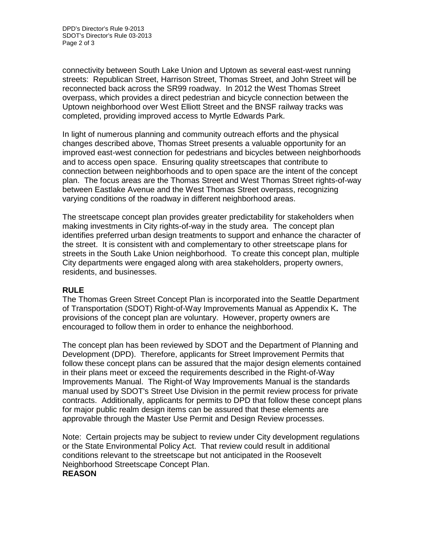connectivity between South Lake Union and Uptown as several east-west running streets: Republican Street, Harrison Street, Thomas Street, and John Street will be reconnected back across the SR99 roadway. In 2012 the West Thomas Street overpass, which provides a direct pedestrian and bicycle connection between the Uptown neighborhood over West Elliott Street and the BNSF railway tracks was completed, providing improved access to Myrtle Edwards Park.

In light of numerous planning and community outreach efforts and the physical changes described above, Thomas Street presents a valuable opportunity for an improved east-west connection for pedestrians and bicycles between neighborhoods and to access open space. Ensuring quality streetscapes that contribute to connection between neighborhoods and to open space are the intent of the concept plan. The focus areas are the Thomas Street and West Thomas Street rights-of-way between Eastlake Avenue and the West Thomas Street overpass, recognizing varying conditions of the roadway in different neighborhood areas.

The streetscape concept plan provides greater predictability for stakeholders when making investments in City rights-of-way in the study area. The concept plan identifies preferred urban design treatments to support and enhance the character of the street. It is consistent with and complementary to other streetscape plans for streets in the South Lake Union neighborhood. To create this concept plan, multiple City departments were engaged along with area stakeholders, property owners, residents, and businesses.

## **RULE**

The Thomas Green Street Concept Plan is incorporated into the Seattle Department of Transportation (SDOT) Right-of-Way Improvements Manual as Appendix K**.** The provisions of the concept plan are voluntary. However, property owners are encouraged to follow them in order to enhance the neighborhood.

The concept plan has been reviewed by SDOT and the Department of Planning and Development (DPD). Therefore, applicants for Street Improvement Permits that follow these concept plans can be assured that the major design elements contained in their plans meet or exceed the requirements described in the Right-of-Way Improvements Manual. The Right-of Way Improvements Manual is the standards manual used by SDOT's Street Use Division in the permit review process for private contracts. Additionally, applicants for permits to DPD that follow these concept plans for major public realm design items can be assured that these elements are approvable through the Master Use Permit and Design Review processes.

Note: Certain projects may be subject to review under City development regulations or the State Environmental Policy Act. That review could result in additional conditions relevant to the streetscape but not anticipated in the Roosevelt Neighborhood Streetscape Concept Plan. **REASON**